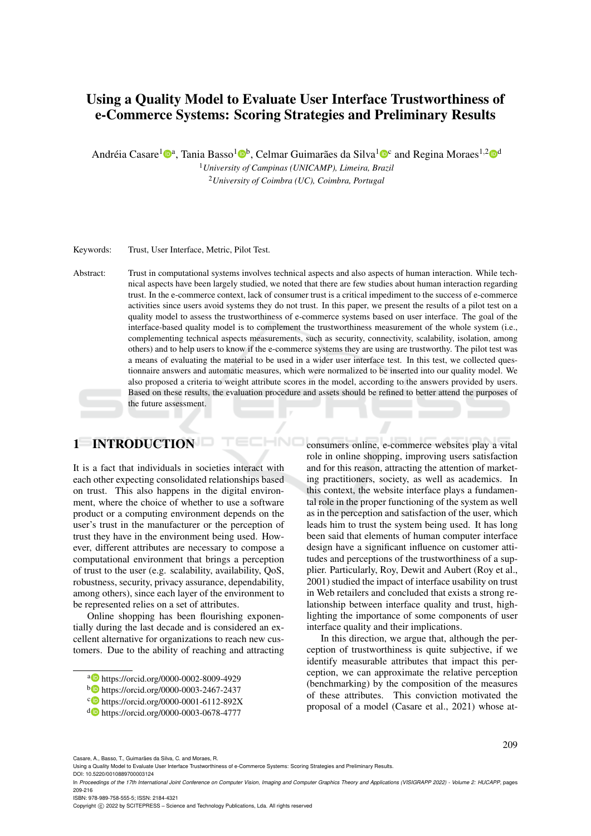# Using a Quality Model to Evaluate User Interface Trustworthiness of e-Commerce Systems: Scoring Strategies and Preliminary Results

Andréia Casare<sup>1</sup><sup>®a</sup>, Tania Basso<sup>1</sup>®<sup>b</sup>, Celmar Guimarães da Silva<sup>1</sup>®<sup>c</sup> and Regina Moraes<sup>1,2</sup>®<sup>d</sup>

<sup>1</sup>*University of Campinas (UNICAMP), Limeira, Brazil* <sup>2</sup>*University of Coimbra (UC), Coimbra, Portugal*

Keywords: Trust, User Interface, Metric, Pilot Test.

Abstract: Trust in computational systems involves technical aspects and also aspects of human interaction. While technical aspects have been largely studied, we noted that there are few studies about human interaction regarding trust. In the e-commerce context, lack of consumer trust is a critical impediment to the success of e-commerce activities since users avoid systems they do not trust. In this paper, we present the results of a pilot test on a quality model to assess the trustworthiness of e-commerce systems based on user interface. The goal of the interface-based quality model is to complement the trustworthiness measurement of the whole system (i.e., complementing technical aspects measurements, such as security, connectivity, scalability, isolation, among others) and to help users to know if the e-commerce systems they are using are trustworthy. The pilot test was a means of evaluating the material to be used in a wider user interface test. In this test, we collected questionnaire answers and automatic measures, which were normalized to be inserted into our quality model. We also proposed a criteria to weight attribute scores in the model, according to the answers provided by users. Based on these results, the evaluation procedure and assets should be refined to better attend the purposes of the future assessment.

HNC

## 1 INTRODUCTION

It is a fact that individuals in societies interact with each other expecting consolidated relationships based on trust. This also happens in the digital environment, where the choice of whether to use a software product or a computing environment depends on the user's trust in the manufacturer or the perception of trust they have in the environment being used. However, different attributes are necessary to compose a computational environment that brings a perception of trust to the user (e.g. scalability, availability, QoS, robustness, security, privacy assurance, dependability, among others), since each layer of the environment to be represented relies on a set of attributes.

Online shopping has been flourishing exponentially during the last decade and is considered an excellent alternative for organizations to reach new customers. Due to the ability of reaching and attracting consumers online, e-commerce websites play a vital role in online shopping, improving users satisfaction and for this reason, attracting the attention of marketing practitioners, society, as well as academics. In this context, the website interface plays a fundamental role in the proper functioning of the system as well as in the perception and satisfaction of the user, which leads him to trust the system being used. It has long been said that elements of human computer interface design have a significant influence on customer attitudes and perceptions of the trustworthiness of a supplier. Particularly, Roy, Dewit and Aubert (Roy et al., 2001) studied the impact of interface usability on trust in Web retailers and concluded that exists a strong relationship between interface quality and trust, highlighting the importance of some components of user interface quality and their implications.

In this direction, we argue that, although the perception of trustworthiness is quite subjective, if we identify measurable attributes that impact this perception, we can approximate the relative perception (benchmarking) by the composition of the measures of these attributes. This conviction motivated the proposal of a model (Casare et al., 2021) whose at-

Casare, A., Basso, T., Guimarães da Silva, C. and Moraes, R.

ISBN: 978-989-758-555-5; ISSN: 2184-4321

Copyright (C) 2022 by SCITEPRESS - Science and Technology Publications, Lda. All rights reserved

<sup>a</sup> https://orcid.org/0000-0002-8009-4929

<sup>b</sup> https://orcid.org/0000-0003-2467-2437

c https://orcid.org/0000-0001-6112-892X

<sup>d</sup> https://orcid.org/0000-0003-0678-4777

Using a Quality Model to Evaluate User Interface Trustworthiness of e-Commerce Systems: Scoring Strategies and Preliminary Results. DOI: 10.5220/0010889700003124

In *Proceedings of the 17th International Joint Conference on Computer Vision, Imaging and Computer Graphics Theory and Applications (VISIGRAPP 2022) - Volume 2: HUCAPP*, pages 209-216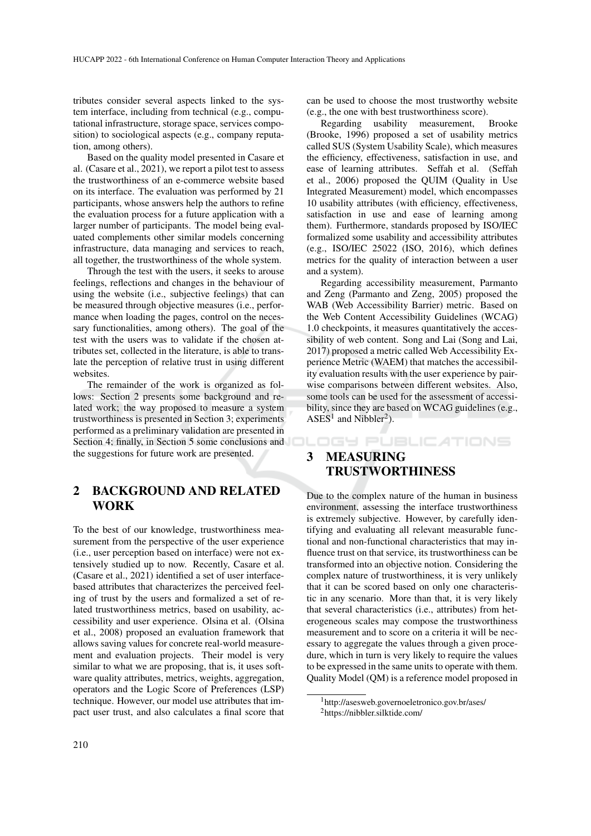tributes consider several aspects linked to the system interface, including from technical (e.g., computational infrastructure, storage space, services composition) to sociological aspects (e.g., company reputation, among others).

Based on the quality model presented in Casare et al. (Casare et al., 2021), we report a pilot test to assess the trustworthiness of an e-commerce website based on its interface. The evaluation was performed by 21 participants, whose answers help the authors to refine the evaluation process for a future application with a larger number of participants. The model being evaluated complements other similar models concerning infrastructure, data managing and services to reach, all together, the trustworthiness of the whole system.

Through the test with the users, it seeks to arouse feelings, reflections and changes in the behaviour of using the website (i.e., subjective feelings) that can be measured through objective measures (i.e., performance when loading the pages, control on the necessary functionalities, among others). The goal of the test with the users was to validate if the chosen attributes set, collected in the literature, is able to translate the perception of relative trust in using different websites.

The remainder of the work is organized as follows: Section 2 presents some background and related work; the way proposed to measure a system trustworthiness is presented in Section 3; experiments performed as a preliminary validation are presented in Section 4; finally, in Section 5 some conclusions and **DLDGH** PUBLICATIONS the suggestions for future work are presented.

### 2 BACKGROUND AND RELATED WORK

To the best of our knowledge, trustworthiness measurement from the perspective of the user experience (i.e., user perception based on interface) were not extensively studied up to now. Recently, Casare et al. (Casare et al., 2021) identified a set of user interfacebased attributes that characterizes the perceived feeling of trust by the users and formalized a set of related trustworthiness metrics, based on usability, accessibility and user experience. Olsina et al. (Olsina et al., 2008) proposed an evaluation framework that allows saving values for concrete real-world measurement and evaluation projects. Their model is very similar to what we are proposing, that is, it uses software quality attributes, metrics, weights, aggregation, operators and the Logic Score of Preferences (LSP) technique. However, our model use attributes that impact user trust, and also calculates a final score that can be used to choose the most trustworthy website (e.g., the one with best trustworthiness score).<br>Regarding usability measurement. Brooke

Regarding usability measurement, (Brooke, 1996) proposed a set of usability metrics called SUS (System Usability Scale), which measures the efficiency, effectiveness, satisfaction in use, and ease of learning attributes. Seffah et al. (Seffah et al., 2006) proposed the QUIM (Quality in Use Integrated Measurement) model, which encompasses 10 usability attributes (with efficiency, effectiveness, satisfaction in use and ease of learning among them). Furthermore, standards proposed by ISO/IEC formalized some usability and accessibility attributes (e.g., ISO/IEC 25022 (ISO, 2016), which defines metrics for the quality of interaction between a user and a system).

Regarding accessibility measurement, Parmanto and Zeng (Parmanto and Zeng, 2005) proposed the WAB (Web Accessibility Barrier) metric. Based on the Web Content Accessibility Guidelines (WCAG) 1.0 checkpoints, it measures quantitatively the accessibility of web content. Song and Lai (Song and Lai, 2017) proposed a metric called Web Accessibility Experience Metric (WAEM) that matches the accessibility evaluation results with the user experience by pairwise comparisons between different websites. Also, some tools can be used for the assessment of accessibility, since they are based on WCAG guidelines (e.g.,  $ASES<sup>1</sup>$  and Nibbler<sup>2</sup>).

## 3 MEASURING TRUSTWORTHINESS

Due to the complex nature of the human in business environment, assessing the interface trustworthiness is extremely subjective. However, by carefully identifying and evaluating all relevant measurable functional and non-functional characteristics that may influence trust on that service, its trustworthiness can be transformed into an objective notion. Considering the complex nature of trustworthiness, it is very unlikely that it can be scored based on only one characteristic in any scenario. More than that, it is very likely that several characteristics (i.e., attributes) from heterogeneous scales may compose the trustworthiness measurement and to score on a criteria it will be necessary to aggregate the values through a given procedure, which in turn is very likely to require the values to be expressed in the same units to operate with them. Quality Model (QM) is a reference model proposed in

<sup>1</sup>http://asesweb.governoeletronico.gov.br/ases/ <sup>2</sup>https://nibbler.silktide.com/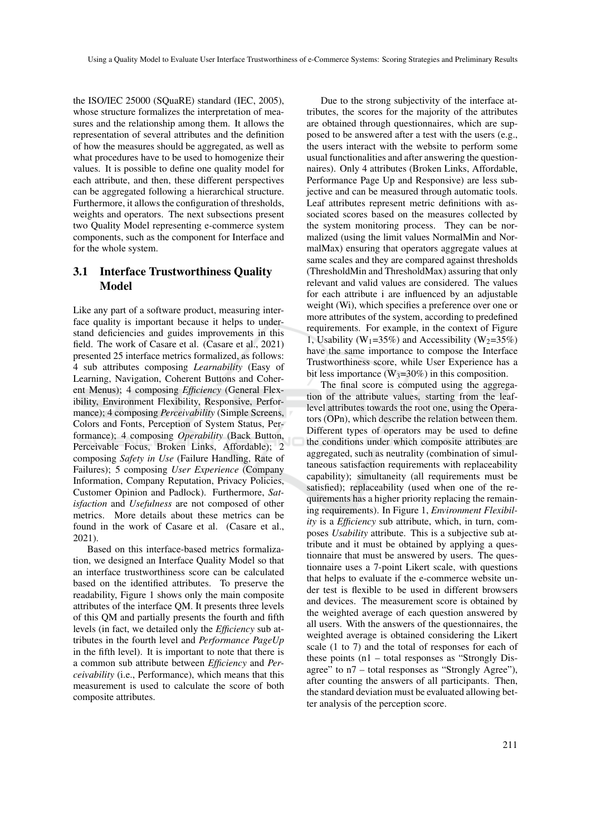the ISO/IEC 25000 (SQuaRE) standard (IEC, 2005), whose structure formalizes the interpretation of measures and the relationship among them. It allows the representation of several attributes and the definition of how the measures should be aggregated, as well as what procedures have to be used to homogenize their values. It is possible to define one quality model for each attribute, and then, these different perspectives can be aggregated following a hierarchical structure. Furthermore, it allows the configuration of thresholds, weights and operators. The next subsections present two Quality Model representing e-commerce system components, such as the component for Interface and for the whole system.

### 3.1 Interface Trustworthiness Quality Model

Like any part of a software product, measuring interface quality is important because it helps to understand deficiencies and guides improvements in this field. The work of Casare et al. (Casare et al., 2021) presented 25 interface metrics formalized, as follows: 4 sub attributes composing *Learnability* (Easy of Learning, Navigation, Coherent Buttons and Coherent Menus); 4 composing *Efficiency* (General Flexibility, Environment Flexibility, Responsive, Performance); 4 composing *Perceivability* (Simple Screens, Colors and Fonts, Perception of System Status, Performance); 4 composing *Operability* (Back Button, Perceivable Focus, Broken Links, Affordable); 2 composing *Safety in Use* (Failure Handling, Rate of Failures); 5 composing *User Experience* (Company Information, Company Reputation, Privacy Policies, Customer Opinion and Padlock). Furthermore, *Satisfaction* and *Usefulness* are not composed of other metrics. More details about these metrics can be found in the work of Casare et al. (Casare et al., 2021).

Based on this interface-based metrics formalization, we designed an Interface Quality Model so that an interface trustworthiness score can be calculated based on the identified attributes. To preserve the readability, Figure 1 shows only the main composite attributes of the interface QM. It presents three levels of this QM and partially presents the fourth and fifth levels (in fact, we detailed only the *Efficiency* sub attributes in the fourth level and *Performance PageUp* in the fifth level). It is important to note that there is a common sub attribute between *Efficiency* and *Perceivability* (i.e., Performance), which means that this measurement is used to calculate the score of both composite attributes.

Due to the strong subjectivity of the interface attributes, the scores for the majority of the attributes are obtained through questionnaires, which are supposed to be answered after a test with the users (e.g., the users interact with the website to perform some usual functionalities and after answering the questionnaires). Only 4 attributes (Broken Links, Affordable, Performance Page Up and Responsive) are less subjective and can be measured through automatic tools. Leaf attributes represent metric definitions with associated scores based on the measures collected by the system monitoring process. They can be normalized (using the limit values NormalMin and NormalMax) ensuring that operators aggregate values at same scales and they are compared against thresholds (ThresholdMin and ThresholdMax) assuring that only relevant and valid values are considered. The values for each attribute i are influenced by an adjustable weight (Wi), which specifies a preference over one or more attributes of the system, according to predefined requirements. For example, in the context of Figure 1, Usability ( $W_1$ =35%) and Accessibility ( $W_2$ =35%) have the same importance to compose the Interface Trustworthiness score, while User Experience has a bit less importance  $(W_3=30\%)$  in this composition.

The final score is computed using the aggregation of the attribute values, starting from the leaflevel attributes towards the root one, using the Operators (OPn), which describe the relation between them. Different types of operators may be used to define the conditions under which composite attributes are aggregated, such as neutrality (combination of simultaneous satisfaction requirements with replaceability capability); simultaneity (all requirements must be satisfied); replaceability (used when one of the requirements has a higher priority replacing the remaining requirements). In Figure 1, *Environment Flexibility* is a *Efficiency* sub attribute, which, in turn, composes *Usability* attribute. This is a subjective sub attribute and it must be obtained by applying a questionnaire that must be answered by users. The questionnaire uses a 7-point Likert scale, with questions that helps to evaluate if the e-commerce website under test is flexible to be used in different browsers and devices. The measurement score is obtained by the weighted average of each question answered by all users. With the answers of the questionnaires, the weighted average is obtained considering the Likert scale (1 to 7) and the total of responses for each of these points (n1 – total responses as "Strongly Disagree" to n7 – total responses as "Strongly Agree"), after counting the answers of all participants. Then, the standard deviation must be evaluated allowing better analysis of the perception score.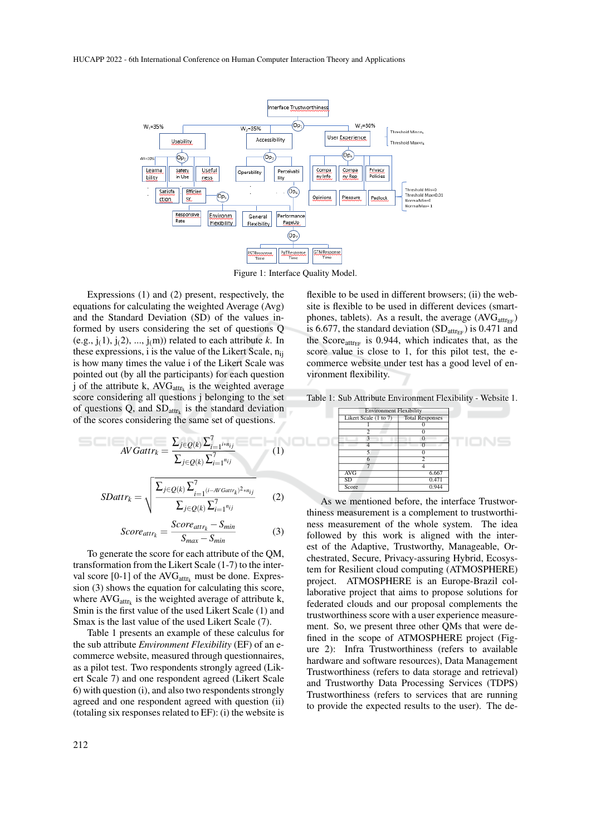

Figure 1: Interface Quality Model.

Expressions (1) and (2) present, respectively, the equations for calculating the weighted Average (Avg) and the Standard Deviation (SD) of the values informed by users considering the set of questions Q (e.g.,  $j(1)$ ,  $j(2)$ , ...,  $j(m)$ ) related to each attribute *k*. In these expressions, i is the value of the Likert Scale,  $n_{ii}$ is how many times the value i of the Likert Scale was pointed out (by all the participants) for each question j of the attribute k,  $AVG_{attr_k}$  is the weighted average score considering all questions j belonging to the set of questions Q, and  $SD_{attr_k}$  is the standard deviation of the scores considering the same set of questions.

$$
AVGattr_k = \frac{\sum_{j \in Q(k)} \sum_{i=1}^{7} i^{kn}ij}{\sum_{j \in Q(k)} \sum_{i=1}^{7} n_{ij}}
$$
(1)  

$$
SDattr_k = \sqrt{\frac{\sum_{j \in Q(k)} \sum_{i=1}^{7} (i - AVGattr_k)^2 * n_{ij}}{\sum_{j \in Q(k)} \sum_{i=1}^{7} n_{ij}}}
$$
(2)

$$
Score_{attr_k} = \frac{Score_{attr_k} - S_{min}}{S_{max} - S_{min}}
$$
(3)

To generate the score for each attribute of the QM, transformation from the Likert Scale (1-7) to the interval score [0-1] of the  $AVG<sub>attr<sub>k</sub></sub>$  must be done. Expression (3) shows the equation for calculating this score, where  $AVG_{attr_k}$  is the weighted average of attribute k, Smin is the first value of the used Likert Scale (1) and Smax is the last value of the used Likert Scale (7).

Table 1 presents an example of these calculus for the sub attribute *Environment Flexibility* (EF) of an ecommerce website, measured through questionnaires, as a pilot test. Two respondents strongly agreed (Likert Scale 7) and one respondent agreed (Likert Scale 6) with question (i), and also two respondents strongly agreed and one respondent agreed with question (ii) (totaling six responses related to EF): (i) the website is

flexible to be used in different browsers; (ii) the website is flexible to be used in different devices (smartphones, tablets). As a result, the average  $(AVG_{attr_{FF}})$ is 6.677, the standard deviation  $(SD_{\text{attr}})$  is 0.471 and the Score $_{\text{attr}_{EF}}$  is 0.944, which indicates that, as the score value is close to 1, for this pilot test, the ecommerce website under test has a good level of environment flexibility.

Table 1: Sub Attribute Environment Flexibility - Website 1.

| <b>Environment Flexibility</b> |                        |  |
|--------------------------------|------------------------|--|
| Likert Scale (1 to 7)          | <b>Total Responses</b> |  |
|                                |                        |  |
| ာ                              |                        |  |
| 3                              | $\Omega$               |  |
|                                |                        |  |
|                                |                        |  |
|                                |                        |  |
|                                |                        |  |
| <b>AVG</b>                     | 6.667                  |  |
| SD                             | 0.471                  |  |
| Score                          | 0.944                  |  |

As we mentioned before, the interface Trustworthiness measurement is a complement to trustworthiness measurement of the whole system. The idea followed by this work is aligned with the interest of the Adaptive, Trustworthy, Manageable, Orchestrated, Secure, Privacy-assuring Hybrid, Ecosystem for Resilient cloud computing (ATMOSPHERE) project. ATMOSPHERE is an Europe-Brazil collaborative project that aims to propose solutions for federated clouds and our proposal complements the trustworthiness score with a user experience measurement. So, we present three other QMs that were defined in the scope of ATMOSPHERE project (Figure 2): Infra Trustworthiness (refers to available hardware and software resources), Data Management Trustworthiness (refers to data storage and retrieval) and Trustworthy Data Processing Services (TDPS) Trustworthiness (refers to services that are running to provide the expected results to the user). The de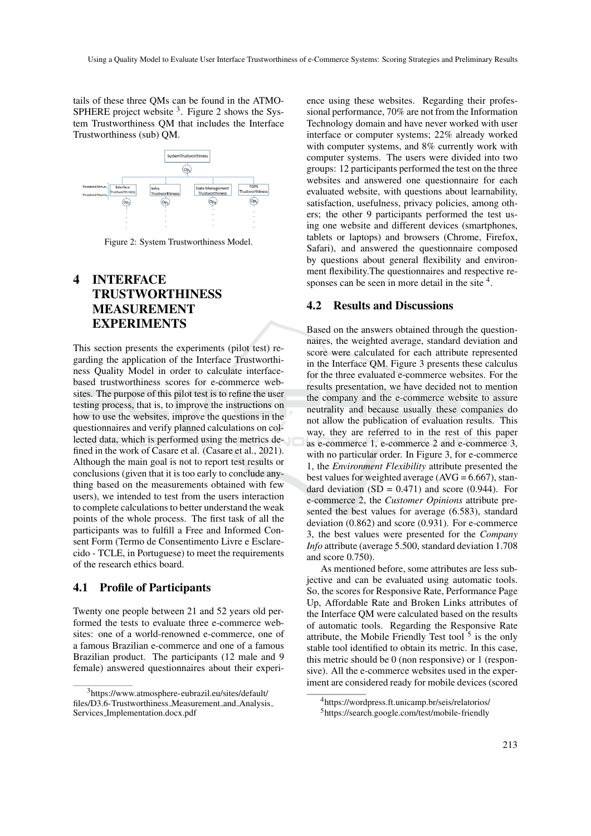tails of these three QMs can be found in the ATMO-SPHERE project website  $3$ . Figure 2 shows the System Trustworthiness QM that includes the Interface Trustworthiness (sub) QM.



Figure 2: System Trustworthiness Model.

## 4 INTERFACE TRUSTWORTHINESS MEASUREMENT EXPERIMENTS

This section presents the experiments (pilot test) regarding the application of the Interface Trustworthiness Quality Model in order to calculate interfacebased trustworthiness scores for e-commerce websites. The purpose of this pilot test is to refine the user testing process, that is, to improve the instructions on how to use the websites, improve the questions in the questionnaires and verify planned calculations on collected data, which is performed using the metrics defined in the work of Casare et al. (Casare et al., 2021). Although the main goal is not to report test results or conclusions (given that it is too early to conclude anything based on the measurements obtained with few users), we intended to test from the users interaction to complete calculations to better understand the weak points of the whole process. The first task of all the participants was to fulfill a Free and Informed Consent Form (Termo de Consentimento Livre e Esclarecido - TCLE, in Portuguese) to meet the requirements of the research ethics board.

#### 4.1 Profile of Participants

Twenty one people between 21 and 52 years old performed the tests to evaluate three e-commerce websites: one of a world-renowned e-commerce, one of a famous Brazilian e-commerce and one of a famous Brazilian product. The participants (12 male and 9 female) answered questionnaires about their experience using these websites. Regarding their professional performance, 70% are not from the Information Technology domain and have never worked with user interface or computer systems; 22% already worked with computer systems, and 8% currently work with computer systems. The users were divided into two groups: 12 participants performed the test on the three websites and answered one questionnaire for each evaluated website, with questions about learnability, satisfaction, usefulness, privacy policies, among others; the other 9 participants performed the test using one website and different devices (smartphones, tablets or laptops) and browsers (Chrome, Firefox, Safari), and answered the questionnaire composed by questions about general flexibility and environment flexibility.The questionnaires and respective responses can be seen in more detail in the site <sup>4</sup>.

#### 4.2 Results and Discussions

Based on the answers obtained through the questionnaires, the weighted average, standard deviation and score were calculated for each attribute represented in the Interface QM. Figure 3 presents these calculus for the three evaluated e-commerce websites. For the results presentation, we have decided not to mention the company and the e-commerce website to assure neutrality and because usually these companies do not allow the publication of evaluation results. This way, they are referred to in the rest of this paper as e-commerce 1, e-commerce 2 and e-commerce 3, with no particular order. In Figure 3, for e-commerce 1, the *Environment Flexibility* attribute presented the best values for weighted average  $(AVG = 6.667)$ , standard deviation  $(SD = 0.471)$  and score  $(0.944)$ . For e-commerce 2, the *Customer Opinions* attribute presented the best values for average (6.583), standard deviation (0.862) and score (0.931). For e-commerce 3, the best values were presented for the *Company Info* attribute (average 5.500, standard deviation 1.708 and score 0.750).

As mentioned before, some attributes are less subjective and can be evaluated using automatic tools. So, the scores for Responsive Rate, Performance Page Up, Affordable Rate and Broken Links attributes of the Interface QM were calculated based on the results of automatic tools. Regarding the Responsive Rate attribute, the Mobile Friendly Test tool  $5$  is the only stable tool identified to obtain its metric. In this case, this metric should be 0 (non responsive) or 1 (responsive). All the e-commerce websites used in the experiment are considered ready for mobile devices (scored

<sup>3</sup>https://www.atmosphere-eubrazil.eu/sites/default/ files/D3.6-Trustworthiness Measurement and Analysis Services Implementation.docx.pdf

<sup>4</sup>https://wordpress.ft.unicamp.br/seis/relatorios/ <sup>5</sup>https://search.google.com/test/mobile-friendly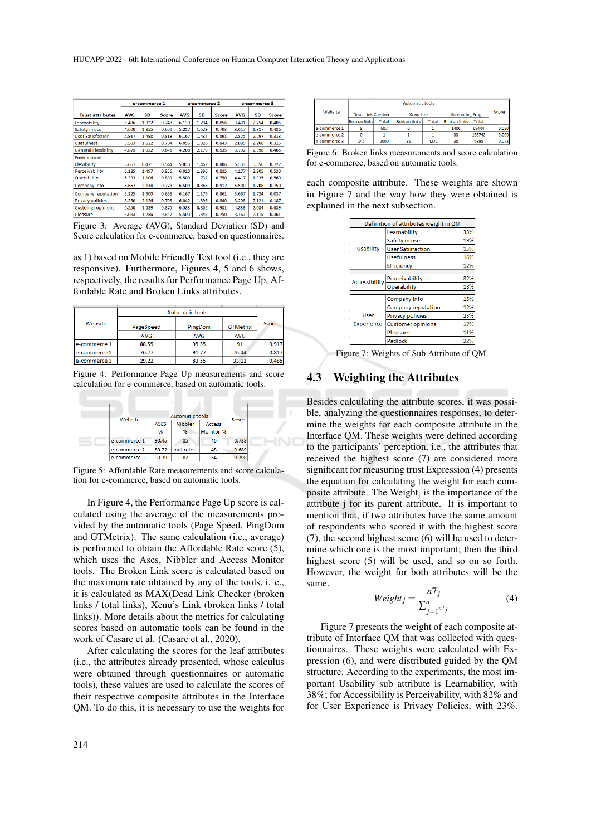|                            | e-commerce 1 |       |              | e-commerce 2 |       |              | e-commerce 3 |           |              |
|----------------------------|--------------|-------|--------------|--------------|-------|--------------|--------------|-----------|--------------|
| <b>Trust attributes</b>    | <b>AVG</b>   | SD    | <b>Score</b> | <b>AVG</b>   | SD    | <b>Score</b> | <b>AVG</b>   | <b>SD</b> | <b>Score</b> |
| Learnability               | 5.486        | 1.922 | 0.748        | 6.139        | 1.294 | 0.856        | 3.431        | 2.254     | 0.405        |
| Safety in use              | 4.600        | 1.855 | 0.600        | 5.217        | 1.529 | 0.703        | 3.617        | 1.817     | 0.436        |
| <b>User Satisfaction</b>   | 5.917        | 1.498 | 0.819        | 6.167        | 1.434 | 0.861        | 2.875        | 2.297     | 0.313        |
| <b>Usefulness</b>          | 5.583        | 1.622 | 0.764        | 6.056        | 1.026 | 0.843        | 2.889        | 2.208     | 0.315        |
| <b>General Flexibility</b> | 4.875        | 1.922 | 0.646        | 4.208        | 2.179 | 0.535        | 3.792        | 2.398     | 0.465        |
| Environment                |              |       |              |              |       |              |              |           |              |
| <b>Flexibility</b>         | 6.667        | 0.471 | 0.944        | 5.833        | 1.462 | 0.806        | 5.333        | 5.556     | 0.722        |
| Perceivability             | 6.135        | 1.497 | 0.856        | 6.010        | 1.396 | 0.835        | 4.177        | 2.305     | 0.530        |
| Operability                | 6.333        | 1.106 | 0.889        | 5.500        | 1.732 | 0.750        | 4.417        | 1.935     | 0.569        |
| Company info               | 5.667        | 2.134 | 0.778        | 6.500        | 0.866 | 0.917        | 5.500        | 1.708     | 0.750        |
| Company reputation         | 5.125        | 1.900 | 0.688        | 6.167        | 1.179 | 0.861        | 3.667        | 1.724     | 0.037        |
| <b>Privacy policies</b>    | 5.250        | 2.126 | 0.708        | 6.042        | 1.399 | 0.840        | 3.208        | 2.121     | 0.187        |
| <b>Customer opinions</b>   | 6.250        | 1.639 | 0.875        | 6.583        | 0.862 | 0.931        | 4.833        | 2.034     | 0.639        |
| Pleasure                   | 6.083        | 1.256 | 0.847        | 5.500        | 1.848 | 0.750        | 3.167        | 2.115     | 0.361        |

Figure 3: Average (AVG), Standard Deviation (SD) and Score calculation for e-commerce, based on questionnaires.

as 1) based on Mobile Friendly Test tool (i.e., they are responsive). Furthermore, Figures 4, 5 and 6 shows, respectively, the results for Performance Page Up, Affordable Rate and Broken Links attributes.

|              | <b>Automatic tools</b> |         |                 |       |  |  |
|--------------|------------------------|---------|-----------------|-------|--|--|
| Website      | PageSpeed              | PingDom | <b>GTMetrix</b> | Score |  |  |
|              | <b>AVG</b>             | AVG     | <b>AVG</b>      |       |  |  |
| e-commerce 1 | 88.55                  | 95.55   | 91              | 0.917 |  |  |
| e-commerce 2 | 76.77                  | 91.77   | 76.44           | 0.817 |  |  |
| e-commerce 3 | 29.22                  | 83.55   | 33.11           | 0.486 |  |  |

Figure 4: Performance Page Up measurements and score calculation for e-commerce, based on automatic tools.

| Website      | <b>Automatic tools</b> |                     |                            |       |  |
|--------------|------------------------|---------------------|----------------------------|-------|--|
|              | <b>ASES</b><br>%       | <b>Nibbler</b><br>% | <b>Access</b><br>Monitor % | Score |  |
| e-commerce 1 | 90.45                  | 85                  | 46                         | 0.738 |  |
| e-commerce 2 | 89.72                  | not rated           | 48                         | 0.689 |  |
| e-commerce 3 | 93.39                  | 82                  | 64                         | 0.798 |  |

Figure 5: Affordable Rate measurements and score calculation for e-commerce, based on automatic tools.

HNO

In Figure 4, the Performance Page Up score is calculated using the average of the measurements provided by the automatic tools (Page Speed, PingDom and GTMetrix). The same calculation (i.e., average) is performed to obtain the Affordable Rate score (5), which uses the Ases, Nibbler and Access Monitor tools. The Broken Link score is calculated based on the maximum rate obtained by any of the tools, i. e., it is calculated as MAX(Dead Link Checker (broken links / total links), Xenu's Link (broken links / total links)). More details about the metrics for calculating scores based on automatic tools can be found in the work of Casare et al. (Casare et al., 2020).

After calculating the scores for the leaf attributes (i.e., the attributes already presented, whose calculus were obtained through questionnaires or automatic tools), these values are used to calculate the scores of their respective composite attributes in the Interface QM. To do this, it is necessary to use the weights for

|              | <b>Automatic tools</b>   |       |                     |       |                       |        |       |
|--------------|--------------------------|-------|---------------------|-------|-----------------------|--------|-------|
| Website      | <b>Dead Link Checker</b> |       | <b>Xenu Link</b>    |       | <b>Screaming Frog</b> |        | Score |
|              | <b>Broken linksl</b>     | Total | <b>Broken links</b> | Total | <b>Broken links</b>   | Total  |       |
| e-commerce 1 |                          | 607   |                     |       | 1406                  | 69444  | 0.020 |
| e-commerce 2 |                          |       |                     |       | 33                    | 165743 | 0.000 |
| e-commerce 3 | 145                      | 2000  |                     | 4272  | 38                    | 6395   |       |

Figure 6: Broken links measurements and score calculation for e-commerce, based on automatic tools.

each composite attribute. These weights are shown in Figure 7 and the way how they were obtained is explained in the next subsection.

| Definition of attributes weight in QM |     |  |  |  |  |  |  |
|---------------------------------------|-----|--|--|--|--|--|--|
| Learnability                          | 38% |  |  |  |  |  |  |
| Safety in use                         | 19% |  |  |  |  |  |  |
| <b>User Satisfaction</b>              | 15% |  |  |  |  |  |  |
| <b>Usefulness</b>                     | 16% |  |  |  |  |  |  |
| Efficiency                            | 12% |  |  |  |  |  |  |
|                                       |     |  |  |  |  |  |  |
| Perceivability                        | 82% |  |  |  |  |  |  |
| Operability                           | 18% |  |  |  |  |  |  |
|                                       |     |  |  |  |  |  |  |
| Company info                          | 15% |  |  |  |  |  |  |
| Company reputation                    | 12% |  |  |  |  |  |  |
| Privacy policies                      | 23% |  |  |  |  |  |  |
| <b>Customer opinions</b>              | 17% |  |  |  |  |  |  |
| Pleasure                              | 11% |  |  |  |  |  |  |
| Padlock                               | 22% |  |  |  |  |  |  |
|                                       |     |  |  |  |  |  |  |

Figure 7: Weights of Sub Attribute of QM.

#### 4.3 Weighting the Attributes

Besides calculating the attribute scores, it was possible, analyzing the questionnaires responses, to determine the weights for each composite attribute in the Interface QM. These weights were defined according to the participants' perception, i.e., the attributes that received the highest score (7) are considered more significant for measuring trust Expression (4) presents the equation for calculating the weight for each composite attribute. The Weight<sub>j</sub> is the importance of the attribute j for its parent attribute. It is important to mention that, if two attributes have the same amount of respondents who scored it with the highest score (7), the second highest score (6) will be used to determine which one is the most important; then the third highest score (5) will be used, and so on so forth. However, the weight for both attributes will be the same.

$$
Weight_j = \frac{n7_j}{\sum_{j=1}^{n} n^{\tau_j}}
$$
\n(4)

Figure 7 presents the weight of each composite attribute of Interface QM that was collected with questionnaires. These weights were calculated with Expression (6), and were distributed guided by the QM structure. According to the experiments, the most important Usability sub attribute is Learnability, with 38%; for Accessibility is Perceivability, with 82% and for User Experience is Privacy Policies, with 23%.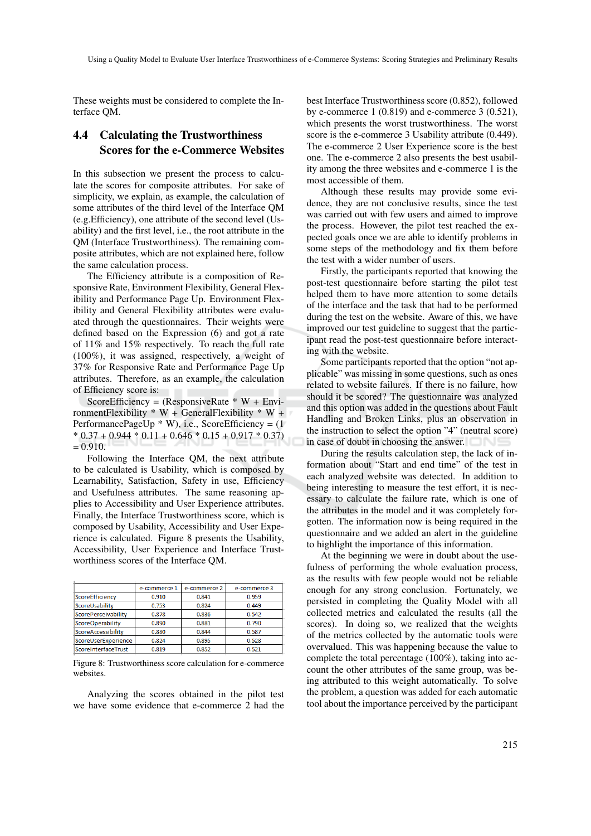These weights must be considered to complete the Interface QM.

### 4.4 Calculating the Trustworthiness Scores for the e-Commerce Websites

In this subsection we present the process to calculate the scores for composite attributes. For sake of simplicity, we explain, as example, the calculation of some attributes of the third level of the Interface QM (e.g.Efficiency), one attribute of the second level (Usability) and the first level, i.e., the root attribute in the QM (Interface Trustworthiness). The remaining composite attributes, which are not explained here, follow the same calculation process.

The Efficiency attribute is a composition of Responsive Rate, Environment Flexibility, General Flexibility and Performance Page Up. Environment Flexibility and General Flexibility attributes were evaluated through the questionnaires. Their weights were defined based on the Expression (6) and got a rate of 11% and 15% respectively. To reach the full rate (100%), it was assigned, respectively, a weight of 37% for Responsive Rate and Performance Page Up attributes. Therefore, as an example, the calculation of Efficiency score is:

ScoreEfficiency = (ResponsiveRate  $* W + Envi$ ronmentFlexibility  $* W + GeneralF$ lexibility  $* W +$ PerformancePageUp  $*$  W), i.e., ScoreEfficiency = (1)  $*$  0.37 + 0.944  $*$  0.11 + 0.646  $*$  0.15 + 0.917  $*$  0.37)  $= 0.910.$ 

Following the Interface QM, the next attribute to be calculated is Usability, which is composed by Learnability, Satisfaction, Safety in use, Efficiency and Usefulness attributes. The same reasoning applies to Accessibility and User Experience attributes. Finally, the Interface Trustworthiness score, which is composed by Usability, Accessibility and User Experience is calculated. Figure 8 presents the Usability, Accessibility, User Experience and Interface Trustworthiness scores of the Interface QM.

|                     | e-commerce 1 | e-commerce 2 | e-commerce 3 |
|---------------------|--------------|--------------|--------------|
| ScoreEfficiency     | 0.910        | 0.841        | 0.959        |
| ScoreUsability      | 0.753        | 0.824        | 0.449        |
| ScorePerceivability | 0.878        | 0.836        | 0.542        |
| ScoreOperability    | 0.890        | 0.881        | 0.790        |
| ScoreAccessibility  | 0.880        | 0.844        | 0.587        |
| ScoreUserExperience | 0.824        | 0.895        | 0.528        |
| ScoreInterfaceTrust | 0.819        | 0.852        | 0.521        |
|                     |              |              |              |

Figure 8: Trustworthiness score calculation for e-commerce websites.

Analyzing the scores obtained in the pilot test we have some evidence that e-commerce 2 had the

best Interface Trustworthiness score (0.852), followed by e-commerce 1 (0.819) and e-commerce 3 (0.521), which presents the worst trustworthiness. The worst score is the e-commerce 3 Usability attribute (0.449). The e-commerce 2 User Experience score is the best one. The e-commerce 2 also presents the best usability among the three websites and e-commerce 1 is the most accessible of them.

Although these results may provide some evidence, they are not conclusive results, since the test was carried out with few users and aimed to improve the process. However, the pilot test reached the expected goals once we are able to identify problems in some steps of the methodology and fix them before the test with a wider number of users.

Firstly, the participants reported that knowing the post-test questionnaire before starting the pilot test helped them to have more attention to some details of the interface and the task that had to be performed during the test on the website. Aware of this, we have improved our test guideline to suggest that the participant read the post-test questionnaire before interacting with the website.

Some participants reported that the option "not applicable" was missing in some questions, such as ones related to website failures. If there is no failure, how should it be scored? The questionnaire was analyzed and this option was added in the questions about Fault Handling and Broken Links, plus an observation in the instruction to select the option "4" (neutral score) in case of doubt in choosing the answer.

During the results calculation step, the lack of information about "Start and end time" of the test in each analyzed website was detected. In addition to being interesting to measure the test effort, it is necessary to calculate the failure rate, which is one of the attributes in the model and it was completely forgotten. The information now is being required in the questionnaire and we added an alert in the guideline to highlight the importance of this information.

At the beginning we were in doubt about the usefulness of performing the whole evaluation process, as the results with few people would not be reliable enough for any strong conclusion. Fortunately, we persisted in completing the Quality Model with all collected metrics and calculated the results (all the scores). In doing so, we realized that the weights of the metrics collected by the automatic tools were overvalued. This was happening because the value to complete the total percentage (100%), taking into account the other attributes of the same group, was being attributed to this weight automatically. To solve the problem, a question was added for each automatic tool about the importance perceived by the participant